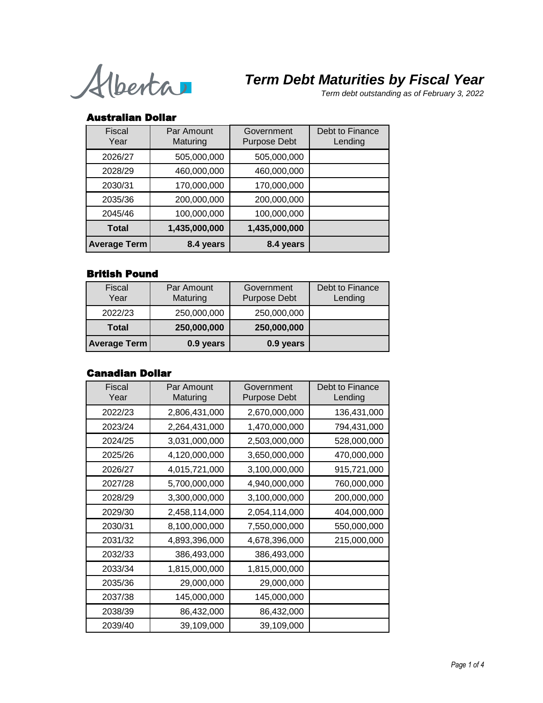Alberta

*Term debt outstanding as of February 3, 2022*

### Australian Dollar

| Fiscal<br>Year      | Par Amount<br>Maturing | Government<br><b>Purpose Debt</b> | Debt to Finance<br>Lending |
|---------------------|------------------------|-----------------------------------|----------------------------|
| 2026/27             | 505,000,000            | 505,000,000                       |                            |
| 2028/29             | 460,000,000            | 460,000,000                       |                            |
| 2030/31             | 170,000,000            | 170,000,000                       |                            |
| 2035/36             | 200,000,000            | 200,000,000                       |                            |
| 2045/46             | 100,000,000            | 100,000,000                       |                            |
| <b>Total</b>        | 1,435,000,000          | 1,435,000,000                     |                            |
| <b>Average Term</b> | 8.4 years              | 8.4 years                         |                            |

## British Pound

| <b>Fiscal</b><br>Year | Par Amount<br>Maturing | Government<br><b>Purpose Debt</b> | Debt to Finance<br>Lending |
|-----------------------|------------------------|-----------------------------------|----------------------------|
| 2022/23               | 250,000,000            | 250,000,000                       |                            |
| <b>Total</b>          | 250,000,000            | 250,000,000                       |                            |
| <b>Average Term</b>   | 0.9 years              | 0.9 years                         |                            |

## Canadian Dollar

| <b>Fiscal</b><br>Year | Par Amount<br>Maturing | Government<br><b>Purpose Debt</b> | Debt to Finance<br>Lending |
|-----------------------|------------------------|-----------------------------------|----------------------------|
| 2022/23               | 2,806,431,000          | 2,670,000,000                     | 136,431,000                |
| 2023/24               | 2,264,431,000          | 1,470,000,000                     | 794,431,000                |
| 2024/25               | 3,031,000,000          | 2,503,000,000                     | 528,000,000                |
| 2025/26               | 4,120,000,000          | 3,650,000,000                     | 470,000,000                |
| 2026/27               | 4,015,721,000          | 3,100,000,000                     | 915,721,000                |
| 2027/28               | 5,700,000,000          | 4,940,000,000                     | 760,000,000                |
| 2028/29               | 3,300,000,000          | 3,100,000,000                     | 200,000,000                |
| 2029/30               | 2,458,114,000          | 2,054,114,000                     | 404,000,000                |
| 2030/31               | 8,100,000,000          | 7,550,000,000                     | 550,000,000                |
| 2031/32               | 4,893,396,000          | 4,678,396,000                     | 215,000,000                |
| 2032/33               | 386,493,000            | 386,493,000                       |                            |
| 2033/34               | 1,815,000,000          | 1,815,000,000                     |                            |
| 2035/36               | 29,000,000             | 29,000,000                        |                            |
| 2037/38               | 145,000,000            | 145,000,000                       |                            |
| 2038/39               | 86,432,000             | 86,432,000                        |                            |
| 2039/40               | 39,109,000             | 39,109,000                        |                            |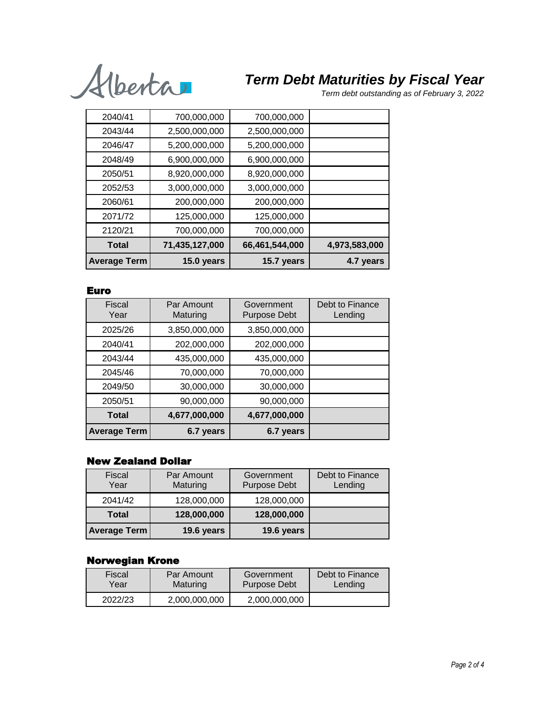

*Term debt outstanding as of February 3, 2022*

| 2040/41             | 700,000,000    | 700,000,000    |               |
|---------------------|----------------|----------------|---------------|
| 2043/44             | 2,500,000,000  | 2,500,000,000  |               |
| 2046/47             | 5,200,000,000  | 5,200,000,000  |               |
| 2048/49             | 6,900,000,000  | 6,900,000,000  |               |
| 2050/51             | 8,920,000,000  | 8,920,000,000  |               |
| 2052/53             | 3,000,000,000  | 3,000,000,000  |               |
| 2060/61             | 200,000,000    | 200,000,000    |               |
| 2071/72             | 125,000,000    | 125,000,000    |               |
| 2120/21             | 700,000,000    | 700,000,000    |               |
| <b>Total</b>        | 71,435,127,000 | 66,461,544,000 | 4,973,583,000 |
| <b>Average Term</b> | 15.0 years     | 15.7 years     | 4.7 years     |

### Euro

| Fiscal<br>Year      | Par Amount<br>Maturing | Government<br><b>Purpose Debt</b> | Debt to Finance<br>Lending |
|---------------------|------------------------|-----------------------------------|----------------------------|
| 2025/26             | 3,850,000,000          | 3,850,000,000                     |                            |
| 2040/41             | 202,000,000            | 202,000,000                       |                            |
| 2043/44             | 435,000,000            | 435,000,000                       |                            |
| 2045/46             | 70,000,000             | 70,000,000                        |                            |
| 2049/50             | 30,000,000             | 30,000,000                        |                            |
| 2050/51             | 90,000,000             | 90,000,000                        |                            |
| <b>Total</b>        | 4,677,000,000          | 4,677,000,000                     |                            |
| <b>Average Term</b> | 6.7 years              | 6.7 years                         |                            |

### New Zealand Dollar

| <b>Fiscal</b><br>Year | Par Amount<br>Maturing | Government<br><b>Purpose Debt</b> | Debt to Finance<br>Lending |
|-----------------------|------------------------|-----------------------------------|----------------------------|
| 2041/42               | 128,000,000            | 128,000,000                       |                            |
| <b>Total</b>          | 128,000,000            | 128,000,000                       |                            |
| <b>Average Term</b>   | 19.6 years             | 19.6 years                        |                            |

## Norwegian Krone

| Fiscal  | Par Amount    | Government          | Debt to Finance |
|---------|---------------|---------------------|-----------------|
| Year    | Maturing      | <b>Purpose Debt</b> | Lending         |
| 2022/23 | 2,000,000,000 | 2,000,000,000       |                 |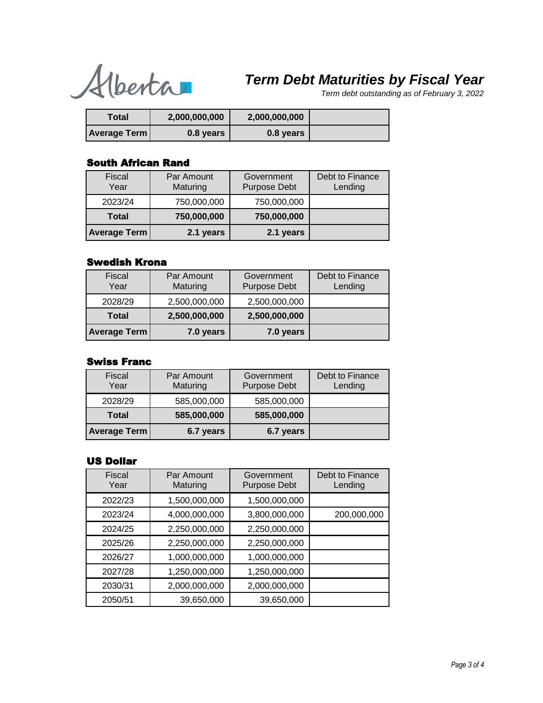Alberta

*Term debt outstanding as of February 3, 2022*

| Total               | 2,000,000,000 | 2,000,000,000 |  |
|---------------------|---------------|---------------|--|
| <b>Average Term</b> | 0.8 years     | 0.8 years     |  |

#### South African Rand

| <b>Fiscal</b><br>Year | Par Amount<br>Maturing | Government<br><b>Purpose Debt</b> | Debt to Finance<br>Lending |
|-----------------------|------------------------|-----------------------------------|----------------------------|
| 2023/24               | 750,000,000            | 750,000,000                       |                            |
| <b>Total</b>          | 750,000,000            | 750,000,000                       |                            |
| <b>Average Term</b>   | 2.1 years              | 2.1 years                         |                            |

## Swedish Krona

| <b>Fiscal</b><br>Year | Par Amount<br>Maturing | Government<br><b>Purpose Debt</b> | Debt to Finance<br>Lending |
|-----------------------|------------------------|-----------------------------------|----------------------------|
| 2028/29               | 2,500,000,000          | 2,500,000,000                     |                            |
| <b>Total</b>          | 2,500,000,000          | 2,500,000,000                     |                            |
| <b>Average Term</b>   | 7.0 years              | 7.0 years                         |                            |

## Swiss Franc

| <b>Fiscal</b><br>Year | Par Amount<br>Maturing | Government<br><b>Purpose Debt</b> | Debt to Finance<br>Lending |
|-----------------------|------------------------|-----------------------------------|----------------------------|
| 2028/29               | 585,000,000            | 585,000,000                       |                            |
| <b>Total</b>          | 585,000,000            | 585,000,000                       |                            |
| <b>Average Term</b>   | 6.7 years              | 6.7 years                         |                            |

### US Dollar

| <b>Fiscal</b><br>Year | Par Amount<br>Maturing | Government<br><b>Purpose Debt</b> | Debt to Finance<br>Lending |
|-----------------------|------------------------|-----------------------------------|----------------------------|
| 2022/23               | 1,500,000,000          | 1,500,000,000                     |                            |
| 2023/24               | 4,000,000,000          | 3,800,000,000                     | 200,000,000                |
| 2024/25               | 2,250,000,000          | 2,250,000,000                     |                            |
| 2025/26               | 2,250,000,000          | 2,250,000,000                     |                            |
| 2026/27               | 1,000,000,000          | 1,000,000,000                     |                            |
| 2027/28               | 1,250,000,000          | 1,250,000,000                     |                            |
| 2030/31               | 2,000,000,000          | 2,000,000,000                     |                            |
| 2050/51               | 39,650,000             | 39,650,000                        |                            |